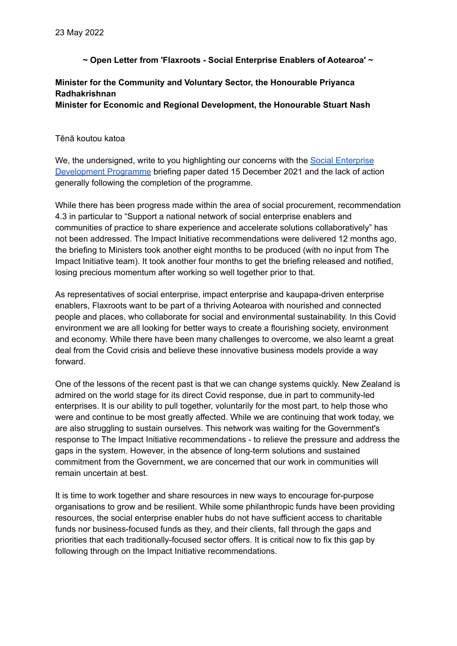**~ Open Letter from 'Flaxroots - Social Enterprise Enablers of Aotearoa' ~**

## **Minister for the Community and Voluntary Sector, the Honourable Priyanca Radhakrishnan Minister for Economic and Regional Development, the Honourable Stuart Nash**

## Tēnā koutou katoa

We, the undersigned, write to you highlighting our concerns with the Social [Enterprise](https://www.mbie.govt.nz/dmsdocument/19701-government-support-for-social-enterprise-briefing) [Development](https://www.mbie.govt.nz/dmsdocument/19701-government-support-for-social-enterprise-briefing) Programme briefing paper dated 15 December 2021 and the lack of action generally following the completion of the programme.

While there has been progress made within the area of social procurement, recommendation 4.3 in particular to "Support a national network of social enterprise enablers and communities of practice to share experience and accelerate solutions collaboratively" has not been addressed. The Impact Initiative recommendations were delivered 12 months ago, the briefing to Ministers took another eight months to be produced (with no input from The Impact Initiative team). It took another four months to get the briefing released and notified, losing precious momentum after working so well together prior to that.

As representatives of social enterprise, impact enterprise and kaupapa-driven enterprise enablers, Flaxroots want to be part of a thriving Aotearoa with nourished and connected people and places, who collaborate for social and environmental sustainability. In this Covid environment we are all looking for better ways to create a flourishing society, environment and economy. While there have been many challenges to overcome, we also learnt a great deal from the Covid crisis and believe these innovative business models provide a way forward.

One of the lessons of the recent past is that we can change systems quickly. New Zealand is admired on the world stage for its direct Covid response, due in part to community-led enterprises. It is our ability to pull together, voluntarily for the most part, to help those who were and continue to be most greatly affected. While we are continuing that work today, we are also struggling to sustain ourselves. This network was waiting for the Government's response to The Impact Initiative recommendations - to relieve the pressure and address the gaps in the system. However, in the absence of long-term solutions and sustained commitment from the Government, we are concerned that our work in communities will remain uncertain at best.

It is time to work together and share resources in new ways to encourage for-purpose organisations to grow and be resilient. While some philanthropic funds have been providing resources, the social enterprise enabler hubs do not have sufficient access to charitable funds nor business-focused funds as they, and their clients, fall through the gaps and priorities that each traditionally-focused sector offers. It is critical now to fix this gap by following through on the Impact Initiative recommendations.